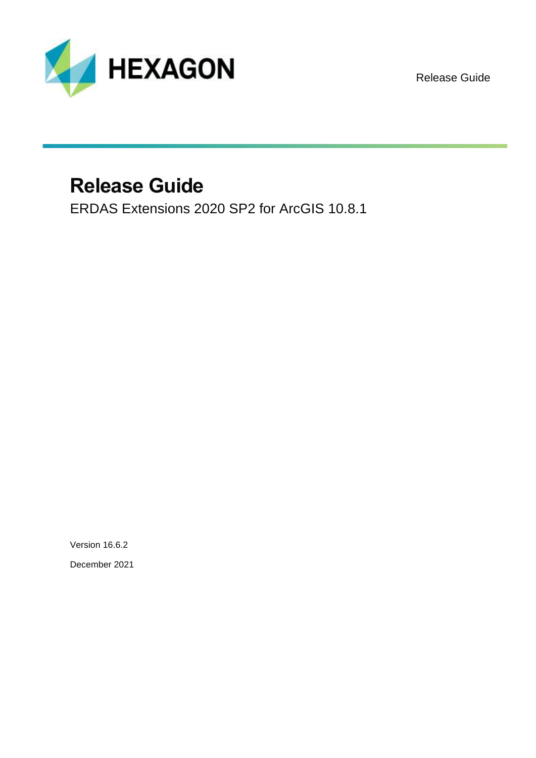

Release Guide

## **Release Guide**

ERDAS Extensions 2020 SP2 for ArcGIS 10.8.1

Version 16.6.2 December 2021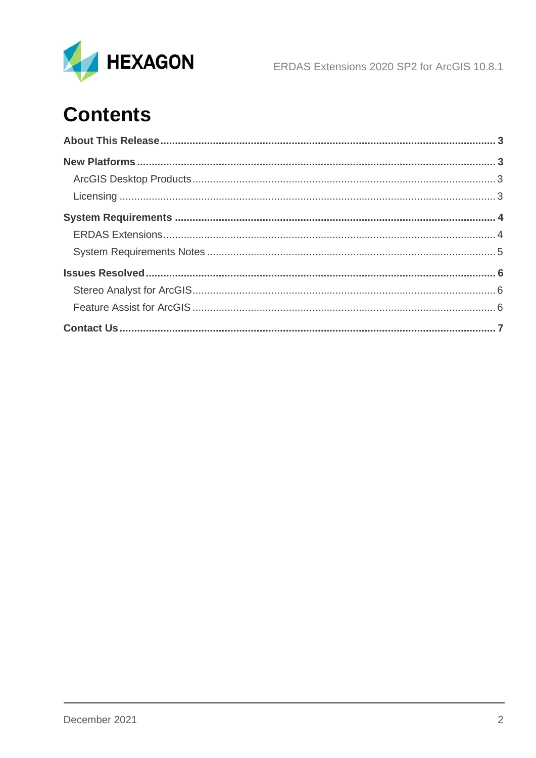

# **Contents**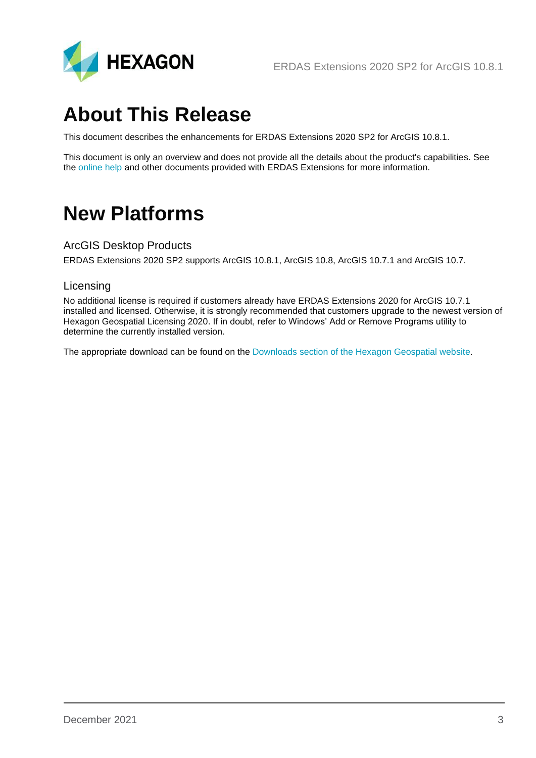

## <span id="page-2-0"></span>**About This Release**

This document describes the enhancements for ERDAS Extensions 2020 SP2 for ArcGIS 10.8.1.

This document is only an overview and does not provide all the details about the product's capabilities. See the [online help](https://doc.hexagongeospatial.com/search/all?filters=HGD_Product~%2522ERDAS+Extensions+for+ArcGIS%2522&content-lang=en-US) and other documents provided with ERDAS Extensions for more information.

## <span id="page-2-1"></span>**New Platforms**

### <span id="page-2-2"></span>ArcGIS Desktop Products

ERDAS Extensions 2020 SP2 supports ArcGIS 10.8.1, ArcGIS 10.8, ArcGIS 10.7.1 and ArcGIS 10.7.

#### <span id="page-2-3"></span>Licensing

No additional license is required if customers already have ERDAS Extensions 2020 for ArcGIS 10.7.1 installed and licensed. Otherwise, it is strongly recommended that customers upgrade to the newest version of Hexagon Geospatial Licensing 2020. If in doubt, refer to Windows' Add or Remove Programs utility to determine the currently installed version.

The appropriate download can be found on the [Downloads section of the Hexagon Geospatial website.](https://download.hexagongeospatial.com/)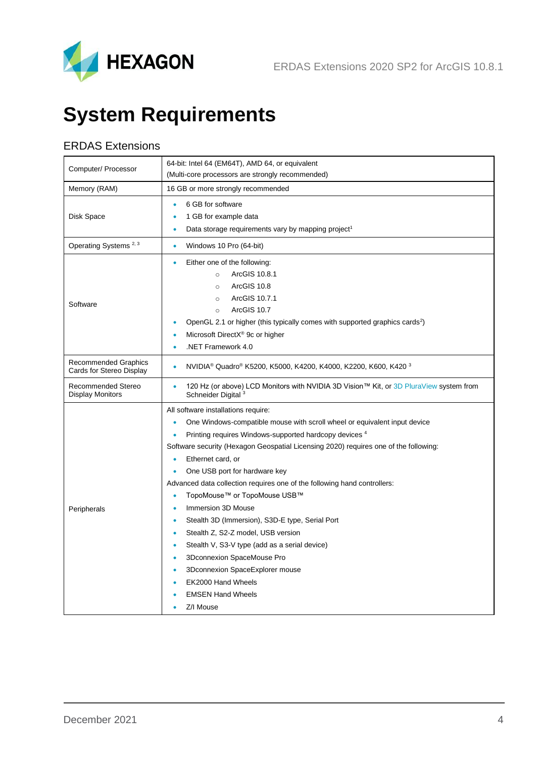

# <span id="page-3-0"></span>**System Requirements**

## <span id="page-3-1"></span>ERDAS Extensions

| Computer/ Processor                                     | 64-bit: Intel 64 (EM64T), AMD 64, or equivalent<br>(Multi-core processors are strongly recommended)                                                                                                                                                                                                                    |  |  |  |
|---------------------------------------------------------|------------------------------------------------------------------------------------------------------------------------------------------------------------------------------------------------------------------------------------------------------------------------------------------------------------------------|--|--|--|
| Memory (RAM)                                            | 16 GB or more strongly recommended                                                                                                                                                                                                                                                                                     |  |  |  |
| Disk Space                                              | 6 GB for software<br>1 GB for example data<br>$\bullet$<br>Data storage requirements vary by mapping project <sup>1</sup><br>$\bullet$                                                                                                                                                                                 |  |  |  |
| Operating Systems <sup>2, 3</sup>                       | Windows 10 Pro (64-bit)<br>$\bullet$                                                                                                                                                                                                                                                                                   |  |  |  |
| Software                                                | Either one of the following:<br>$\bullet$<br>ArcGIS 10.8.1<br>$\circ$<br>ArcGIS 10.8<br>$\circ$<br>ArcGIS 10.7.1<br>$\circ$<br>ArcGIS 10.7<br>$\circ$<br>OpenGL 2.1 or higher (this typically comes with supported graphics cards <sup>2</sup> )<br>$\bullet$<br>Microsoft DirectX® 9c or higher<br>.NET Framework 4.0 |  |  |  |
| <b>Recommended Graphics</b><br>Cards for Stereo Display | NVIDIA® Quadro® K5200, K5000, K4200, K4000, K2200, K600, K420 3<br>$\bullet$                                                                                                                                                                                                                                           |  |  |  |
| Recommended Stereo<br><b>Display Monitors</b>           | 120 Hz (or above) LCD Monitors with NVIDIA 3D Vision™ Kit, or 3D PluraView system from<br>$\bullet$<br>Schneider Digital <sup>3</sup>                                                                                                                                                                                  |  |  |  |
|                                                         | All software installations require:                                                                                                                                                                                                                                                                                    |  |  |  |
|                                                         | One Windows-compatible mouse with scroll wheel or equivalent input device<br>$\bullet$                                                                                                                                                                                                                                 |  |  |  |
|                                                         | Printing requires Windows-supported hardcopy devices 4<br>$\bullet$                                                                                                                                                                                                                                                    |  |  |  |
|                                                         | Software security (Hexagon Geospatial Licensing 2020) requires one of the following:                                                                                                                                                                                                                                   |  |  |  |
|                                                         | Ethernet card, or<br>$\bullet$                                                                                                                                                                                                                                                                                         |  |  |  |
|                                                         | One USB port for hardware key<br>$\bullet$                                                                                                                                                                                                                                                                             |  |  |  |
|                                                         | Advanced data collection requires one of the following hand controllers:                                                                                                                                                                                                                                               |  |  |  |
|                                                         | TopoMouse™ or TopoMouse USB™<br>$\bullet$                                                                                                                                                                                                                                                                              |  |  |  |
| Peripherals                                             | Immersion 3D Mouse<br>$\bullet$<br>Stealth 3D (Immersion), S3D-E type, Serial Port<br>$\bullet$                                                                                                                                                                                                                        |  |  |  |
|                                                         | Stealth Z, S2-Z model, USB version<br>$\bullet$                                                                                                                                                                                                                                                                        |  |  |  |
|                                                         | Stealth V, S3-V type (add as a serial device)<br>$\bullet$                                                                                                                                                                                                                                                             |  |  |  |
|                                                         | 3Dconnexion SpaceMouse Pro<br>$\bullet$                                                                                                                                                                                                                                                                                |  |  |  |
|                                                         | 3Dconnexion SpaceExplorer mouse<br>$\bullet$                                                                                                                                                                                                                                                                           |  |  |  |
|                                                         | EK2000 Hand Wheels<br>$\bullet$                                                                                                                                                                                                                                                                                        |  |  |  |
|                                                         | <b>EMSEN Hand Wheels</b>                                                                                                                                                                                                                                                                                               |  |  |  |
|                                                         | Z/I Mouse                                                                                                                                                                                                                                                                                                              |  |  |  |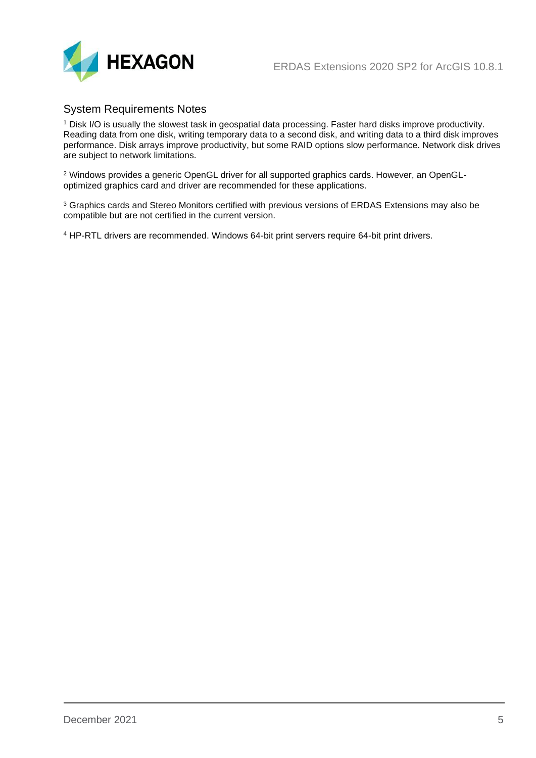

### <span id="page-4-0"></span>System Requirements Notes

<sup>1</sup> Disk I/O is usually the slowest task in geospatial data processing. Faster hard disks improve productivity. Reading data from one disk, writing temporary data to a second disk, and writing data to a third disk improves performance. Disk arrays improve productivity, but some RAID options slow performance. Network disk drives are subject to network limitations.

<sup>2</sup> Windows provides a generic OpenGL driver for all supported graphics cards. However, an OpenGLoptimized graphics card and driver are recommended for these applications.

<sup>3</sup> Graphics cards and Stereo Monitors certified with previous versions of ERDAS Extensions may also be compatible but are not certified in the current version.

<sup>4</sup> HP-RTL drivers are recommended. Windows 64-bit print servers require 64-bit print drivers.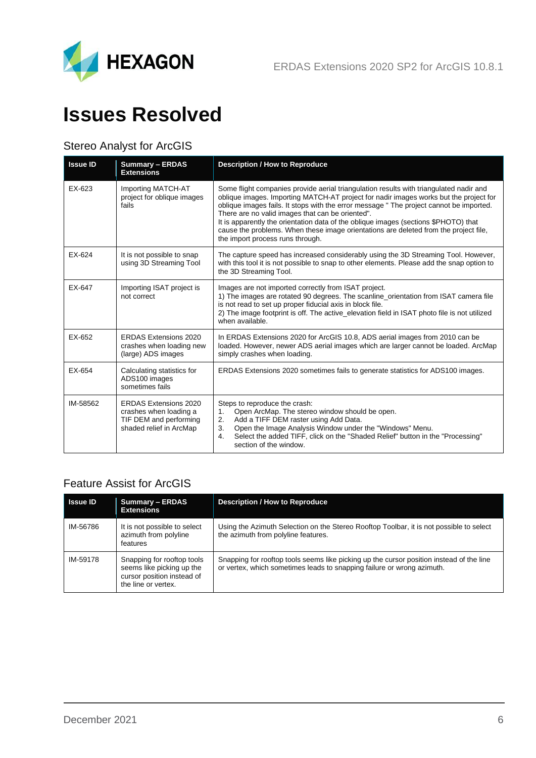

## <span id="page-5-0"></span>**Issues Resolved**

## <span id="page-5-1"></span>Stereo Analyst for ArcGIS

| <b>Issue ID</b> | <b>Summary - ERDAS</b><br><b>Extensions</b>                                                                 | <b>Description / How to Reproduce</b>                                                                                                                                                                                                                                                                                                                                                                                                                                                                                                             |
|-----------------|-------------------------------------------------------------------------------------------------------------|---------------------------------------------------------------------------------------------------------------------------------------------------------------------------------------------------------------------------------------------------------------------------------------------------------------------------------------------------------------------------------------------------------------------------------------------------------------------------------------------------------------------------------------------------|
| EX-623          | Importing MATCH-AT<br>project for oblique images<br>fails                                                   | Some flight companies provide aerial triangulation results with triangulated nadir and<br>oblique images. Importing MATCH-AT project for nadir images works but the project for<br>oblique images fails. It stops with the error message " The project cannot be imported.<br>There are no valid images that can be oriented".<br>It is apparently the orientation data of the oblique images (sections \$PHOTO) that<br>cause the problems. When these image orientations are deleted from the project file,<br>the import process runs through. |
| EX-624          | It is not possible to snap<br>using 3D Streaming Tool                                                       | The capture speed has increased considerably using the 3D Streaming Tool. However,<br>with this tool it is not possible to snap to other elements. Please add the snap option to<br>the 3D Streaming Tool.                                                                                                                                                                                                                                                                                                                                        |
| EX-647          | Importing ISAT project is<br>not correct                                                                    | Images are not imported correctly from ISAT project.<br>1) The images are rotated 90 degrees. The scanline orientation from ISAT camera file<br>is not read to set up proper fiducial axis in block file.<br>2) The image footprint is off. The active_elevation field in ISAT photo file is not utilized<br>when available.                                                                                                                                                                                                                      |
| EX-652          | <b>ERDAS Extensions 2020</b><br>crashes when loading new<br>(large) ADS images                              | In ERDAS Extensions 2020 for ArcGIS 10.8, ADS aerial images from 2010 can be<br>loaded. However, newer ADS aerial images which are larger cannot be loaded. ArcMap<br>simply crashes when loading.                                                                                                                                                                                                                                                                                                                                                |
| EX-654          | Calculating statistics for<br>ADS100 images<br>sometimes fails                                              | ERDAS Extensions 2020 sometimes fails to generate statistics for ADS100 images.                                                                                                                                                                                                                                                                                                                                                                                                                                                                   |
| IM-58562        | <b>ERDAS Extensions 2020</b><br>crashes when loading a<br>TIF DEM and performing<br>shaded relief in ArcMap | Steps to reproduce the crash:<br>Open ArcMap. The stereo window should be open.<br>1.<br>Add a TIFF DEM raster using Add Data.<br>2.<br>Open the Image Analysis Window under the "Windows" Menu.<br>3.<br>Select the added TIFF, click on the "Shaded Relief" button in the "Processing"<br>4.<br>section of the window.                                                                                                                                                                                                                          |

## <span id="page-5-2"></span>Feature Assist for ArcGIS

| <b>Issue ID</b> | <b>Summary - ERDAS</b><br><b>Extensions</b>                                                                  | <b>Description / How to Reproduce</b>                                                                                                                              |
|-----------------|--------------------------------------------------------------------------------------------------------------|--------------------------------------------------------------------------------------------------------------------------------------------------------------------|
| IM-56786        | It is not possible to select<br>azimuth from polyline<br>features                                            | Using the Azimuth Selection on the Stereo Rooftop Toolbar, it is not possible to select<br>the azimuth from polyline features.                                     |
| IM-59178        | Snapping for rooftop tools<br>seems like picking up the<br>cursor position instead of<br>the line or vertex. | Snapping for rooftop tools seems like picking up the cursor position instead of the line<br>or vertex, which sometimes leads to snapping failure or wrong azimuth. |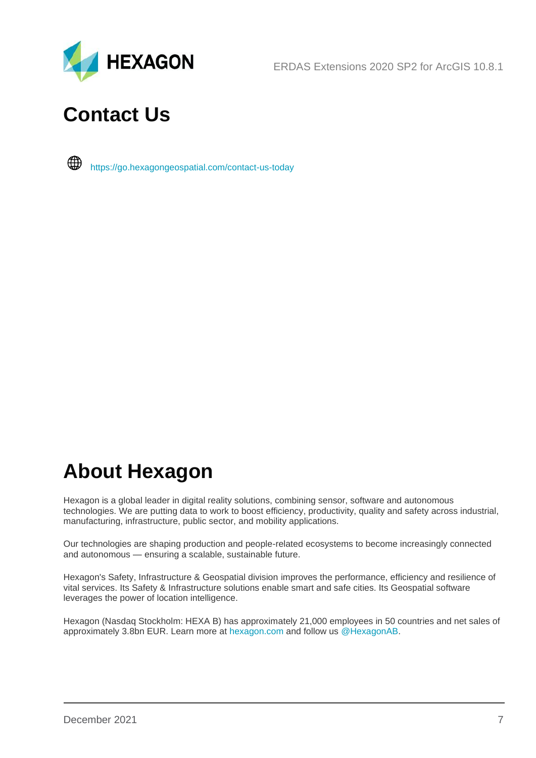

ERDAS Extensions 2020 SP2 for ArcGIS 10.8.1

## <span id="page-6-0"></span>**Contact Us**

∰ <https://go.hexagongeospatial.com/contact-us-today>

## **About Hexagon**

Hexagon is a global leader in digital reality solutions, combining sensor, software and autonomous technologies. We are putting data to work to boost efficiency, productivity, quality and safety across industrial, manufacturing, infrastructure, public sector, and mobility applications.

Our technologies are shaping production and people-related ecosystems to become increasingly connected and autonomous — ensuring a scalable, sustainable future.

Hexagon's Safety, Infrastructure & Geospatial division improves the performance, efficiency and resilience of vital services. Its Safety & Infrastructure solutions enable smart and safe cities. Its Geospatial software leverages the power of location intelligence.

Hexagon (Nasdaq Stockholm: HEXA B) has approximately 21,000 employees in 50 countries and net sales of approximately 3.8bn EUR. Learn more at [hexagon.com](https://hexagon.com/) and follow us [@HexagonAB.](https://twitter.com/hexagonab)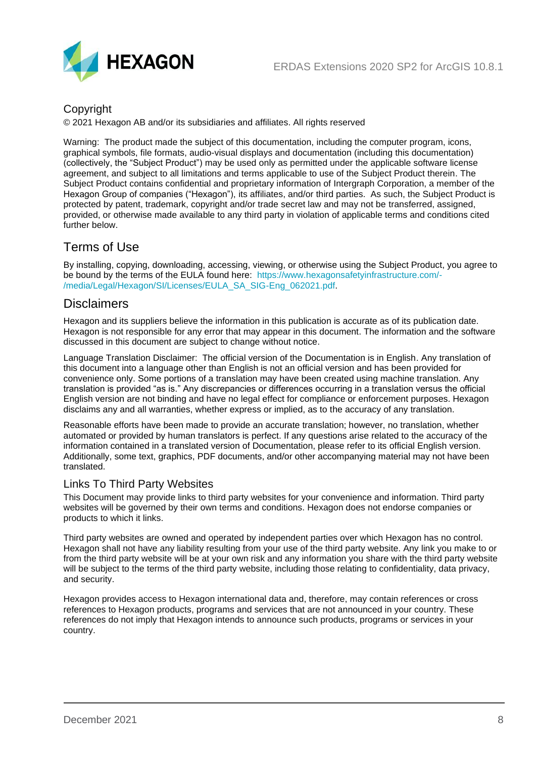

### Copyright

© 2021 Hexagon AB and/or its subsidiaries and affiliates. All rights reserved

Warning: The product made the subject of this documentation, including the computer program, icons, graphical symbols, file formats, audio-visual displays and documentation (including this documentation) (collectively, the "Subject Product") may be used only as permitted under the applicable software license agreement, and subject to all limitations and terms applicable to use of the Subject Product therein. The Subject Product contains confidential and proprietary information of Intergraph Corporation, a member of the Hexagon Group of companies ("Hexagon"), its affiliates, and/or third parties. As such, the Subject Product is protected by patent, trademark, copyright and/or trade secret law and may not be transferred, assigned, provided, or otherwise made available to any third party in violation of applicable terms and conditions cited further below.

## Terms of Use

By installing, copying, downloading, accessing, viewing, or otherwise using the Subject Product, you agree to be bound by the terms of the EULA found here: [https://www.hexagonsafetyinfrastructure.com/-](https://www.hexagonsafetyinfrastructure.com/-/media/Legal/Hexagon/SI/Licenses/EULA_SA_SIG-Eng_062021.pdf) [/media/Legal/Hexagon/SI/Licenses/EULA\\_SA\\_SIG-Eng\\_062021.pdf.](https://www.hexagonsafetyinfrastructure.com/-/media/Legal/Hexagon/SI/Licenses/EULA_SA_SIG-Eng_062021.pdf)

### **Disclaimers**

Hexagon and its suppliers believe the information in this publication is accurate as of its publication date. Hexagon is not responsible for any error that may appear in this document. The information and the software discussed in this document are subject to change without notice.

Language Translation Disclaimer: The official version of the Documentation is in English. Any translation of this document into a language other than English is not an official version and has been provided for convenience only. Some portions of a translation may have been created using machine translation. Any translation is provided "as is." Any discrepancies or differences occurring in a translation versus the official English version are not binding and have no legal effect for compliance or enforcement purposes. Hexagon disclaims any and all warranties, whether express or implied, as to the accuracy of any translation.

Reasonable efforts have been made to provide an accurate translation; however, no translation, whether automated or provided by human translators is perfect. If any questions arise related to the accuracy of the information contained in a translated version of Documentation, please refer to its official English version. Additionally, some text, graphics, PDF documents, and/or other accompanying material may not have been translated.

### Links To Third Party Websites

This Document may provide links to third party websites for your convenience and information. Third party websites will be governed by their own terms and conditions. Hexagon does not endorse companies or products to which it links.

Third party websites are owned and operated by independent parties over which Hexagon has no control. Hexagon shall not have any liability resulting from your use of the third party website. Any link you make to or from the third party website will be at your own risk and any information you share with the third party website will be subject to the terms of the third party website, including those relating to confidentiality, data privacy, and security.

Hexagon provides access to Hexagon international data and, therefore, may contain references or cross references to Hexagon products, programs and services that are not announced in your country. These references do not imply that Hexagon intends to announce such products, programs or services in your country.